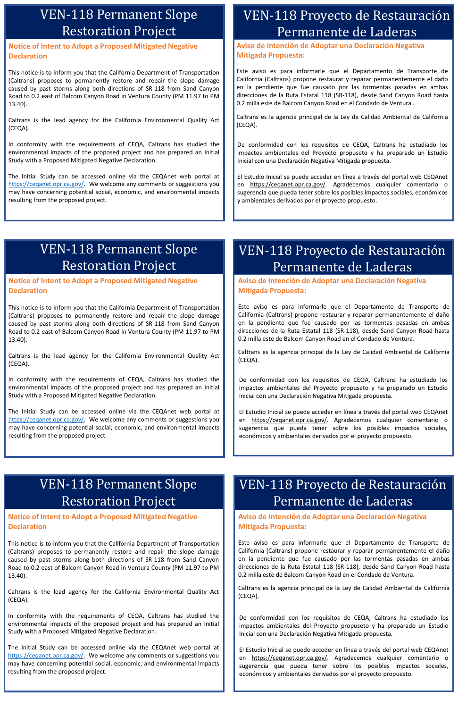**Aviso de Intención de Adoptar una Declaración Negativa Mitigada Propuesta:**

Este aviso es para informarle que el Departamento de Transporte de California (Caltrans) propone restaurar y reparar permanentemente el daño en la pendiente que fue causado por las tormentas pasadas en ambas direcciones de la Ruta Estatal 118 (SR-118), desde Sand Canyon Road hasta 0.2 milla este de Balcom Canyon Road en el Condado de Ventura .

Caltrans es la agencia principal de la Ley de Calidad Ambiental de California (CEQA).

De conformidad con los requisitos de CEQA, Caltrans ha estudiado los impactos ambientales del Proyecto propuseto y ha preparado un Estudio Inicial con una Declaración Negativa Mitigada propuesta.

El Estudio Inicial se puede acceder en línea a través del portal web CEQAnet en <https://ceqanet.opr.ca.gov/>. Agradecemos cualquier comentario o sugerencia que pueda tener sobre los posibles impactos sociales, económicos y ambientales derivados por el proyecto propuesto.

### **Notice of Intent to Adopt a Proposed Mitigated Negative Declaration**

This notice is to inform you that the California Department of Transportation (Caltrans) proposes to permanently restore and repair the slope damage caused by past storms along both directions of SR-118 from Sand Canyon Road to 0.2 east of Balcom Canyon Road in Ventura County (PM 11.97 to PM 13.40).

Caltrans is the lead agency for the California Environmental Quality Act (CEQA).

In conformity with the requirements of CEQA, Caltrans has studied the environmental impacts of the proposed project and has prepared an Initial Study with a Proposed Mitigated Negative Declaration.

The Initial Study can be accessed online via the CEQAnet web portal at [https://ceqanet.opr.ca.gov/.](https://ceqanet.opr.ca.gov/) We welcome any comments or suggestions you may have concerning potential social, economic, and environmental impacts resulting from the proposed project.

## VEN-118 Permanent Slope Restoration Project

## VEN-118 Proyecto de Restauración Permanente de Laderas

### **Notice of Intent to Adopt a Proposed Mitigated Negative Declaration**

This notice is to inform you that the California Department of Transportation (Caltrans) proposes to permanently restore and repair the slope damage caused by past storms along both directions of SR-118 from Sand Canyon Road to 0.2 east of Balcom Canyon Road in Ventura County (PM 11.97 to PM 13.40).

Caltrans is the lead agency for the California Environmental Quality Act (CEQA).

In conformity with the requirements of CEQA, Caltrans has studied the environmental impacts of the proposed project and has prepared an Initial Study with a Proposed Mitigated Negative Declaration.

The Initial Study can be accessed online via the CEQAnet web portal at [https://ceqanet.opr.ca.gov/.](https://gcc02.safelinks.protection.outlook.com/?url=https%3A%2F%2Fceqanet.opr.ca.gov%2F&data=02%7C01%7CMojgan.Abbassi%40dot.ca.gov%7Cdf4674b2ee3e407a19e908d7f1e43c59%7C621b0a64174043cc8d884540d3487556%7C0%7C0%7C637243834869621653&sdata=8mf%2BYPH%2BJCklwWQgRL3ks8hn%2BJ%2FWMUUT9Zr%2FlxzFepU%3D&reserved=0) We welcome any comments or suggestions you may have concerning potential social, economic, and environmental impacts resulting from the proposed project.

## VEN-118 Permanent Slope Restoration Project

**Notice of Intent to Adopt a Proposed Mitigated Negative** 

## **Declaration**

This notice is to inform you that the California Department of Transportation (Caltrans) proposes to permanently restore and repair the slope damage caused by past storms along both directions of SR-118 from Sand Canyon Road to 0.2 east of Balcom Canyon Road in Ventura County (PM 11.97 to PM 13.40).

Caltrans is the lead agency for the California Environmental Quality Act (CEQA).

In conformity with the requirements of CEQA, Caltrans has studied the environmental impacts of the proposed project and has prepared an Initial Study with a Proposed Mitigated Negative Declaration.

The Initial Study can be accessed online via the CEQAnet web portal at [https://ceqanet.opr.ca.gov/](https://gcc02.safelinks.protection.outlook.com/?url=https%3A%2F%2Fceqanet.opr.ca.gov%2F&data=02%7C01%7CMojgan.Abbassi%40dot.ca.gov%7Cdf4674b2ee3e407a19e908d7f1e43c59%7C621b0a64174043cc8d884540d3487556%7C0%7C0%7C637243834869621653&sdata=8mf%2BYPH%2BJCklwWQgRL3ks8hn%2BJ%2FWMUUT9Zr%2FlxzFepU%3D&reserved=0). We welcome any comments or suggestions you may have concerning potential social, economic, and environmental impacts resulting from the proposed project.

## VEN-118 Permanent Slope Restoration Project

**Aviso de Intención de Adoptar una Declaración Negativa Mitigada Propuesta:**

Este aviso es para informarle que el Departamento de Transporte de California (Caltrans) propone restaurar y reparar permanentemente el daño en la pendiente que fue causado por las tormentas pasadas en ambas direcciones de la Ruta Estatal 118 (SR-118), desde Sand Canyon Road hasta 0.2 milla este de Balcom Canyon Road en el Condado de Ventura.

Caltrans es la agencia principal de la Ley de Calidad Ambiental de California (CEQA).

**Aviso de Intención de Adoptar una Declaración Negativa** 

## **Mitigada Propuesta:**

Este aviso es para informarle que el Departamento de Transporte de California (Caltrans) propone restaurar y reparar permanentemente el daño en la pendiente que fue causado por las tormentas pasadas en ambas direcciones de la Ruta Estatal 118 (SR-118), desde Sand Canyon Road hasta 0.2 milla este de Balcom Canyon Road en el Condado de Ventura.

Caltrans es la agencia principal de la Ley de Calidad Ambiental de California (CEQA).

De conformidad con los requisitos de CEQA, Caltrans ha estudiado los impactos ambientales del Proyecto propuseto y ha preparado un Estudio Inicial con una Declaración Negativa Mitigada propuesta.

El Estudio Inicial se puede acceder en línea a través del portal web CEQAnet en [https://ceqanet.opr.ca.gov/.](https://ceqanet.opr.ca.gov/) Agradecemos cualquier comentario o sugerencia que pueda tener sobre los posibles impactos sociales, económicos y ambientales derivados por el proyecto propuesto.

De conformidad con los requisitos de CEQA, Caltrans ha estudiado los impactos ambientales del Proyecto propuseto y ha preparado un Estudio Inicial con una Declaración Negativa Mitigada propuesta.

El Estudio Inicial se puede acceder en línea a través del portal web CEQAnet en [https://ceqanet.opr.ca.gov/.](https://ceqanet.opr.ca.gov/) Agradecemos cualquier comentario o sugerencia que pueda tener sobre los posibles impactos sociales, económicos y ambientales derivados por el proyecto propuesto.

# VEN-118 Proyecto de Restauración Permanente de Laderas

# VEN-118 Proyecto de Restauración Permanente de Laderas